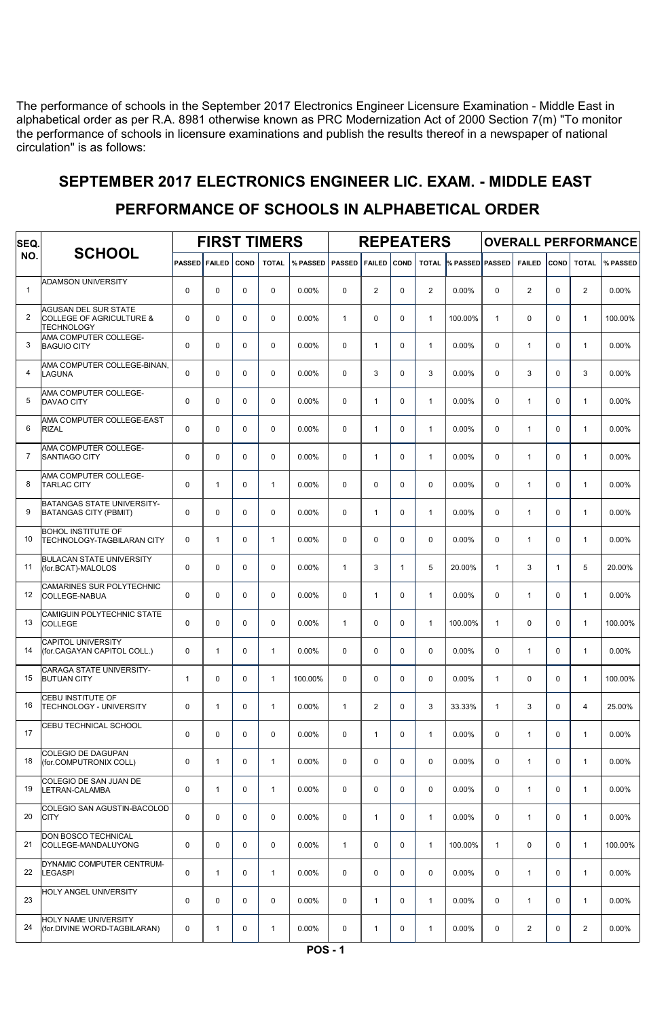The performance of schools in the September 2017 Electronics Engineer Licensure Examination - Middle East in alphabetical order as per R.A. 8981 otherwise known as PRC Modernization Act of 2000 Section 7(m) "To monitor the performance of schools in licensure examinations and publish the results thereof in a newspaper of national circulation" is as follows:

## SEPTEMBER 2017 ELECTRONICS ENGINEER LIC. EXAM. - MIDDLE EAST

#### FIRST TIMERS | REPEATERS | OVERALL PERFORMANCE SCHOOL PASSED FAILED COND TOTAL % PASSED PASSED FAILED COND TOTAL <sup>%</sup> PASSED PASSED FAILED COND TOTAL % PASSED SEQ. NO. ADAMSON UNIVERSITY 1 0 0 0 0 0 0.00% 0 2 0.00% 0 2 0.00% 0 2 0.00% AGUSAN DEL SUR STATE COLLEGE OF AGRICULTURE & 2 0 0 0 0 0.00% 1 0 0 1 100.00% 1 0 0 1 100.00% **TECHNOLOGY** <u>- Lumanour<br>AMA COMPUTER COLLEGE-</u><br>BAGUIO CITY 3 |BAGUIO CITY | 0 | 0 | 0 | 0 | 0.00% | 0 | 1 | 0 | 1 | 0.00% | 0 | 1 | 0 | 1 | 0.00% AMA COMPUTER COLLEGE-BINAN,<br>LAGUNA 4 LAGUNA | 0 | 0 | 0 | 0 | 0.00% | 0 | 3 | 0 | 3 | 0.00% | 0 | 3 | 0 | 3 | 0.00% AMA COMPUTER COLLEGE<mark>-</mark><br>DAVAO CITY 5 |DAVAO CITY | 0 | 0 | 0 | 0 | 0.00% 0 | 1 | 0 | 1 | 0.00% 0 | 1 | 0 | 1 | 0.00% .<br>AMA COMPUTER COLLEGE-EAST<br>RIZAL 6 RIZAL | 0 | 0 | 0 | 0 | 0.00% | 0 | 1 | 0 | 1 | 0.00% | 0 | 1 | 0 | 1 | 0.00% .<br>AMA COMPUTER COLLEGE-<br>SANTIAGO CITY 7 SANTIAGO CITY | 0 | 0 | 0 | 0 | 0.00% | 0 | 1 | 0 | 1 | 0.00% | 0 | 1 | 0 | 1 | 0.00% AMA COMPUTER COLLEGE-<br>TARLAC CITY 8 |TARLAC CITY | 0 | 1 | 0 | 1 | 0.00% | 0 | 0 | 0 | 0 | 0.00% | 0 | 1 | 0 | 1 | 0.00% BATANGAS STATE UNIVERSITY-9 BATANGAS CITY (PBMIT) 0 0 0 0 0 0 0.00% 0 1 0 1 0.00% 0 1 0 1 0.00% 0 1 0 1 0.00% BOHOL INSTITUTE OF 10 TECHNOLOGY-TAGBILARAN CITY | 0 | 1 | 0 | 1 | 0.00% | 0 | 0 | 0 | 0.00% | 0 | 1 | 0 | 1 | 0.00% BULACAN STATE UNIVERSITY<br>(for.BCAT)-MALOLOS 11 (for.BCAT)-MALOLOS 0 0 0 0.00% 1 3 1 5 20.00% 1 3 1 5 20.00% CAMARINES SUR POLYTECHNIC<br>COLLEGE-NABUA 12 COLLEGE-NABUA 0 0 0 0 0.00% 0 1 0 0 0 0 1 0 0.00% 0 1 0.00% 0 .<br>COLLEGE<br>COLLEGE 13 COLLEGE 0 0 0 0 0.00% 1 0 0 1 100.00% 1 0 0 1 100.00% CAPITOL UNIVERSITY 14 (for.CAGAYAN CAPITOL COLL.) 0 1 0 1 0.00% 0 0 0 0 0 0.00% 0 1 0 1 0.00% .<br>CARAGA STATE UNIVERSITY-<br>BUTUAN CITY 15 BUTUAN CITY | 1 | 0 | 0 | 1 | 100.00% | 0 | 0 | 0 | 0 | 0 000% | 1 | 0 | 0 | 1 | 100.00% CEBU INSTITUTE OF 16 TECHNOLOGY - UNIVERSITY 0 1 0 1 0.00% 1 2 0 3 33.33% 1 3 0 4 25.00% CEBU TECHNICAL SCHOOL 17 0 0 0 0 0 0 0.00% 0 0 0 0 1 0.00% 0 0 1 0.00% 0 1 0 0 1 0.00% COLEGIO DE DAGUPAN 18 (for.COMPUTRONIX COLL) 0 1 0 1 0.00% 0 0 0 0 0 0.00% 0 1 0 1 0.00% COLEGIO DE SAN JUAN DE 19 LETRAN-CALAMBA 0 1 0 1 0.00% 0 0 0 0 0.00% 0 1 0 1 0.00% COLEGIO SAN AGUSTIN-BACOLOD<br>CITY 20 CITY 0 0 0 0 0.00% 0 1 0 1 0.00% 0 1 0 1 0.00% DON BOSCO TECHNICAL 21 COLLEGE-MANDALUYONG 0 0 0 0 0 0.00% 1 0 0 0 1 100.00% 1 0 0 1 100.00% DYNAMIC COMPUTER CENTRUM-22 LEGASPI 0 1 0 1 0.00% 0 0 0 0 0.00% 0 1 0 1 0.00% HOLY ANGEL UNIVERSITY 23 0 0 0 0 0 0 0.00% 0 0 0 0 1 0.00% 0 0 1 0.00% 0 1 0 1 0.00% HOLY NAME UNIVERSITY 24 (for.DIVINE WORD-TAGBILARAN) 0 1 0 1 0.00% 0 1 0 1 0.00% 0 2 0 2 0.00%

### PERFORMANCE OF SCHOOLS IN ALPHABETICAL ORDER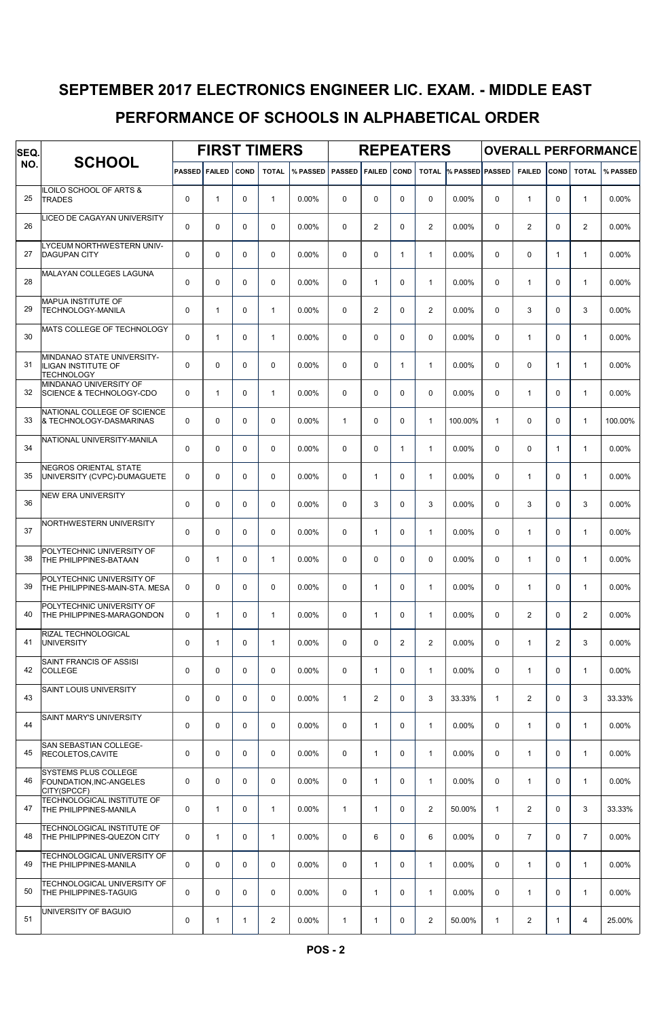## SEPTEMBER 2017 ELECTRONICS ENGINEER LIC. EXAM. - MIDDLE EAST

### PERFORMANCE OF SCHOOLS IN ALPHABETICAL ORDER

| SEQ. |                                                                               | <b>FIRST TIMERS</b>  |              |              |                |                   |              |                | <b>REPEATERS</b> |                | <b>OVERALL PERFORMANCE</b> |              |                         |              |                |          |
|------|-------------------------------------------------------------------------------|----------------------|--------------|--------------|----------------|-------------------|--------------|----------------|------------------|----------------|----------------------------|--------------|-------------------------|--------------|----------------|----------|
| NO.  | <b>SCHOOL</b>                                                                 | <b>PASSED FAILED</b> |              | <b>COND</b>  | <b>TOTAL</b>   | % PASSED   PASSED |              | <b>FAILED</b>  | <b>COND</b>      | <b>TOTAL</b>   | % PASSED PASSED            |              | <b>FAILED</b>           | COND         | <b>TOTAL</b>   | % PASSED |
| 25   | <b>ILOILO SCHOOL OF ARTS &amp;</b><br><b>TRADES</b>                           | $\Omega$             | $\mathbf{1}$ | 0            | $\mathbf{1}$   | $0.00\%$          | 0            | 0              | $\mathbf 0$      | $\mathbf 0$    | 0.00%                      | 0            | $\mathbf{1}$            | $\mathbf 0$  | $\mathbf{1}$   | 0.00%    |
| 26   | LICEO DE CAGAYAN UNIVERSITY                                                   | $\mathbf 0$          | $\mathbf 0$  | 0            | $\mathbf 0$    | 0.00%             | $\Omega$     | 2              | $\mathbf 0$      | $\overline{2}$ | $0.00\%$                   | 0            | $\overline{2}$          | 0            | 2              | 0.00%    |
| 27   | LYCEUM NORTHWESTERN UNIV-<br><b>DAGUPAN CITY</b>                              | 0                    | 0            | 0            | $\mathbf 0$    | 0.00%             | 0            | 0              | $\mathbf{1}$     | $\mathbf{1}$   | 0.00%                      | 0            | $\mathbf 0$             | 1            | $\mathbf{1}$   | 0.00%    |
| 28   | <b>MALAYAN COLLEGES LAGUNA</b>                                                | 0                    | 0            | 0            | $\mathbf 0$    | $0.00\%$          | 0            | $\mathbf{1}$   | $\mathbf 0$      | $\mathbf{1}$   | 0.00%                      | 0            | $\mathbf{1}$            | 0            | $\mathbf{1}$   | 0.00%    |
| 29   | MAPUA INSTITUTE OF<br>TECHNOLOGY-MANILA                                       | $\mathbf 0$          | 1            | $\mathbf 0$  | $\mathbf{1}$   | 0.00%             | $\Omega$     | $\overline{2}$ | $\mathbf 0$      | $\overline{2}$ | 0.00%                      | 0            | 3                       | $\Omega$     | 3              | 0.00%    |
| 30   | MATS COLLEGE OF TECHNOLOGY                                                    | $\mathbf 0$          | $\mathbf{1}$ | 0            | $\mathbf{1}$   | $0.00\%$          | $\Omega$     | 0              | $\mathbf 0$      | $\mathbf 0$    | $0.00\%$                   | 0            | $\mathbf{1}$            | 0            | 1              | 0.00%    |
| 31   | MINDANAO STATE UNIVERSITY-<br><b>ILIGAN INSTITUTE OF</b><br><b>TECHNOLOGY</b> | $\mathbf 0$          | 0            | $\mathbf 0$  | $\mathbf 0$    | 0.00%             | 0            | 0              | $\mathbf{1}$     | $\mathbf{1}$   | 0.00%                      | 0            | $\mathbf 0$             | 1            | 1              | 0.00%    |
| 32   | MINDANAO UNIVERSITY OF<br><b>SCIENCE &amp; TECHNOLOGY-CDO</b>                 | $\mathbf 0$          | 1            | 0            | $\mathbf{1}$   | 0.00%             | 0            | 0              | $\mathbf 0$      | $\mathbf 0$    | 0.00%                      | 0            | $\mathbf{1}$            | $\mathbf 0$  | $\mathbf{1}$   | 0.00%    |
| 33   | NATIONAL COLLEGE OF SCIENCE<br>& TECHNOLOGY-DASMARINAS                        | $\mathbf 0$          | 0            | $\mathbf 0$  | $\mathbf 0$    | $0.00\%$          | $\mathbf{1}$ | 0              | $\mathbf 0$      | $\mathbf{1}$   | 100.00%                    | $\mathbf{1}$ | $\mathbf 0$             | $\mathbf 0$  | $\mathbf{1}$   | 100.00%  |
| 34   | NATIONAL UNIVERSITY-MANILA                                                    | $\mathbf 0$          | $\mathbf 0$  | 0            | 0              | $0.00\%$          | $\Omega$     | 0              | $\mathbf{1}$     | $\mathbf{1}$   | 0.00%                      | 0            | $\mathbf 0$             | $\mathbf{1}$ | $\mathbf{1}$   | $0.00\%$ |
| 35   | NEGROS ORIENTAL STATE<br>UNIVERSITY (CVPC)-DUMAGUETE                          | $\mathbf 0$          | 0            | 0            | 0              | 0.00%             | 0            | $\mathbf{1}$   | $\mathbf 0$      | $\mathbf{1}$   | 0.00%                      | 0            | $\mathbf{1}$            | $\mathbf 0$  | $\mathbf{1}$   | 0.00%    |
| 36   | <b>NEW ERA UNIVERSITY</b>                                                     | $\mathbf 0$          | 0            | 0            | $\mathbf 0$    | 0.00%             | 0            | 3              | $\mathbf 0$      | 3              | 0.00%                      | 0            | 3                       | 0            | 3              | $0.00\%$ |
| 37   | NORTHWESTERN UNIVERSITY                                                       | $\mathbf 0$          | 0            | $\mathbf 0$  | $\Omega$       | $0.00\%$          | $\Omega$     | $\mathbf{1}$   | $\mathbf 0$      | $\mathbf{1}$   | $0.00\%$                   | 0            | $\mathbf{1}$            | $\Omega$     | $\mathbf{1}$   | 0.00%    |
| 38   | POLYTECHNIC UNIVERSITY OF<br>THE PHILIPPINES-BATAAN                           | $\mathbf 0$          | $\mathbf{1}$ | 0            | $\mathbf{1}$   | $0.00\%$          | $\Omega$     | 0              | $\mathbf 0$      | $\mathbf 0$    | $0.00\%$                   | 0            | $\mathbf{1}$            | $\Omega$     | 1              | 0.00%    |
| 39   | POLYTECHNIC UNIVERSITY OF<br>THE PHILIPPINES-MAIN-STA. MESA                   | 0                    | 0            | $\mathbf 0$  | 0              | 0.00%             | 0            | $\mathbf{1}$   | $\mathbf 0$      | $\mathbf{1}$   | $0.00\%$                   | 0            | $\mathbf{1}$            | $\mathbf 0$  | 1              | 0.00%    |
| 40   | POLYTECHNIC UNIVERSITY OF<br>THE PHILIPPINES-MARAGONDON                       | 0                    | 1            | 0            | $\mathbf{1}$   | $0.00\%$          | 0            | $\mathbf{1}$   | 0                | $\mathbf{1}$   | $0.00\%$                   | 0            | $\overline{2}$          | 0            | 2              | 0.00%    |
| 41   | RIZAL TECHNOLOGICAL<br><b>UNIVERSITY</b>                                      | $\mathbf 0$          | $\mathbf{1}$ | 0            | $\mathbf{1}$   | 0.00%             | $\Omega$     | 0              | $\overline{2}$   | $\mathbf{2}$   | 0.00%                      | 0            | $\mathbf{1}$            | 2            | 3              | 0.00%    |
| 42   | SAINT FRANCIS OF ASSISI<br><b>COLLEGE</b>                                     | $\mathbf 0$          | 0            | 0            | $\mathbf 0$    | $0.00\%$          | $\Omega$     | $\mathbf{1}$   | $\mathbf 0$      | $\mathbf{1}$   | $0.00\%$                   | 0            | $\mathbf{1}$            | 0            | $\mathbf{1}$   | 0.00%    |
| 43   | SAINT LOUIS UNIVERSITY                                                        | $\mathbf 0$          | 0            | 0            | $\mathbf 0$    | $0.00\%$          | $\mathbf{1}$ | 2              | $\mathbf 0$      | 3              | 33.33%                     | $\mathbf{1}$ | $\mathbf{2}$            | $\mathbf 0$  | 3              | 33.33%   |
| 44   | SAINT MARY'S UNIVERSITY                                                       | $\mathbf 0$          | 0            | 0            | $\mathsf 0$    | 0.00%             | $\mathbf 0$  | $\mathbf{1}$   | $\mathbf 0$      | $\mathbf{1}$   | $0.00\%$                   | 0            | $\mathbf{1}$            | 0            | $\mathbf{1}$   | 0.00%    |
| 45   | SAN SEBASTIAN COLLEGE-<br>RECOLETOS, CAVITE                                   | $\mathbf 0$          | 0            | 0            | $\mathbf 0$    | $0.00\%$          | $\mathbf 0$  | $\mathbf{1}$   | $\mathbf 0$      | $\mathbf{1}$   | 0.00%                      | 0            | $\mathbf{1}$            | 0            | $\mathbf{1}$   | 0.00%    |
| 46   | SYSTEMS PLUS COLLEGE<br>FOUNDATION, INC-ANGELES<br>CITY(SPCCF)                | $\mathbf 0$          | 0            | 0            | $\mathbf 0$    | $0.00\%$          | $\mathbf 0$  | $\mathbf{1}$   | $\mathbf 0$      | $\mathbf{1}$   | 0.00%                      | 0            | $\mathbf{1}$            | $\mathbf 0$  | $\mathbf{1}$   | 0.00%    |
| 47   | TECHNOLOGICAL INSTITUTE OF<br><b>THE PHILIPPINES-MANILA</b>                   | $\mathbf 0$          | 1            | 0            | $\mathbf{1}$   | 0.00%             | $\mathbf{1}$ | $\mathbf{1}$   | $\mathbf 0$      | $\overline{c}$ | 50.00%                     | $\mathbf{1}$ | $\mathbf{2}$            | $\mathbf 0$  | 3              | 33.33%   |
| 48   | TECHNOLOGICAL INSTITUTE OF<br>THE PHILIPPINES-QUEZON CITY                     | $\mathbf 0$          | 1            | 0            | $\mathbf{1}$   | 0.00%             | $\mathbf 0$  | 6              | $\mathbf 0$      | 6              | $0.00\%$                   | 0            | $\overline{7}$          | 0            | $\overline{7}$ | 0.00%    |
| 49   | TECHNOLOGICAL UNIVERSITY OF<br>THE PHILIPPINES-MANILA                         | $\mathbf 0$          | $\mathbf 0$  | 0            | $\mathbf 0$    | $0.00\%$          | $\mathbf 0$  | $\mathbf{1}$   | $\mathbf 0$      | $\mathbf{1}$   | $0.00\%$                   | 0            | $\mathbf{1}$            | 0            | $\mathbf{1}$   | 0.00%    |
| 50   | TECHNOLOGICAL UNIVERSITY OF<br>THE PHILIPPINES-TAGUIG                         | $\mathbf 0$          | $\mathbf 0$  | 0            | 0              | $0.00\%$          | $\mathbf 0$  | $\mathbf{1}$   | $\mathbf 0$      | $\mathbf{1}$   | $0.00\%$                   | 0            | $\mathbf{1}$            | 0            | $\mathbf{1}$   | 0.00%    |
| 51   | UNIVERSITY OF BAGUIO                                                          | 0                    | $\mathbf{1}$ | $\mathbf{1}$ | $\overline{2}$ | 0.00%             | 1            | $\mathbf{1}$   | 0                | $\overline{c}$ | 50.00%                     | $\mathbf{1}$ | $\overline{\mathbf{c}}$ | 1            | 4              | 25.00%   |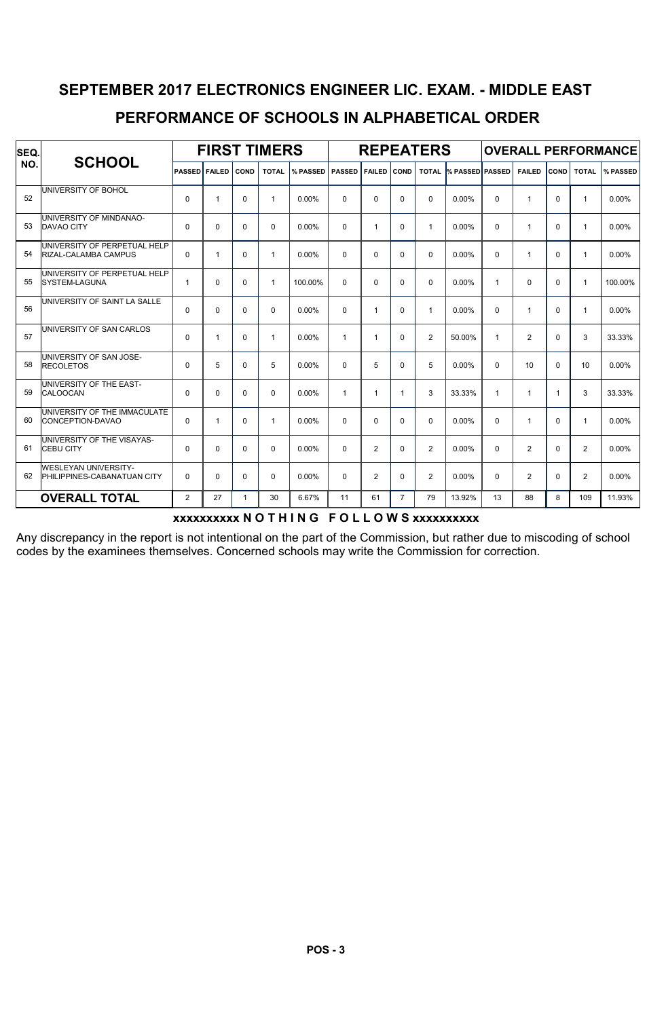# PERFORMANCE OF SCHOOLS IN ALPHABETICAL ORDER SEPTEMBER 2017 ELECTRONICS ENGINEER LIC. EXAM. - MIDDLE EAST

| SEQ. | <b>SCHOOL</b>                                              | <b>FIRST TIMERS</b>  |              |             |              |          |               |                | <b>REPEATERS</b> |                | <b>OVERALL PERFORMANCE</b> |              |                |              |                |          |
|------|------------------------------------------------------------|----------------------|--------------|-------------|--------------|----------|---------------|----------------|------------------|----------------|----------------------------|--------------|----------------|--------------|----------------|----------|
| NO.  |                                                            | <b>PASSED FAILED</b> |              | <b>COND</b> | <b>TOTAL</b> | % PASSED | <b>PASSED</b> | <b>FAILED</b>  | COND             | <b>TOTAL</b>   | <b>% PASSED PASSED</b>     |              | <b>FAILED</b>  | <b>COND</b>  | <b>TOTAL</b>   | % PASSED |
| 52   | UNIVERSITY OF BOHOL                                        | $\Omega$             | 1            | $\mathbf 0$ | 1            | $0.00\%$ | $\Omega$      | $\Omega$       | $\Omega$         | $\Omega$       | 0.00%                      | $\Omega$     | 1              | $\Omega$     | $\mathbf{1}$   | 0.00%    |
| 53   | UNIVERSITY OF MINDANAO-<br><b>DAVAO CITY</b>               | $\Omega$             | $\Omega$     | $\Omega$    | $\Omega$     | 0.00%    | $\Omega$      | $\mathbf{1}$   | $\Omega$         | $\mathbf{1}$   | 0.00%                      | $\Omega$     | 1              | $\Omega$     | $\mathbf{1}$   | 0.00%    |
| 54   | UNIVERSITY OF PERPETUAL HELP<br>RIZAL-CALAMBA CAMPUS       | $\Omega$             | $\mathbf{1}$ | $\Omega$    | 1            | $0.00\%$ | $\mathbf 0$   | $\Omega$       | 0                | $\Omega$       | 0.00%                      | $\Omega$     | $\overline{1}$ | $\Omega$     | $\mathbf{1}$   | 0.00%    |
| 55   | UNIVERSITY OF PERPETUAL HELP<br><b>SYSTEM-LAGUNA</b>       | $\mathbf{1}$         | $\mathbf 0$  | $\mathbf 0$ | 1            | 100.00%  | $\mathbf 0$   | $\Omega$       | 0                | $\Omega$       | 0.00%                      | 1            | $\mathbf 0$    | $\Omega$     | $\mathbf{1}$   | 100.00%  |
| 56   | UNIVERSITY OF SAINT LA SALLE                               | $\Omega$             | $\Omega$     | $\Omega$    | $\Omega$     | $0.00\%$ | $\Omega$      | $\mathbf{1}$   | $\Omega$         | $\mathbf{1}$   | 0.00%                      | $\Omega$     | 1              | $\Omega$     | $\mathbf{1}$   | 0.00%    |
| 57   | UNIVERSITY OF SAN CARLOS                                   | $\Omega$             | 1            | $\Omega$    | 1            | $0.00\%$ | $\mathbf 1$   | 1              | $\Omega$         | 2              | 50.00%                     | 1            | 2              | $\Omega$     | 3              | 33.33%   |
| 58   | UNIVERSITY OF SAN JOSE-<br><b>RECOLETOS</b>                | $\Omega$             | 5            | $\Omega$    | 5            | $0.00\%$ | $\Omega$      | 5              | $\Omega$         | 5              | 0.00%                      | $\Omega$     | 10             | $\Omega$     | 10             | 0.00%    |
| 59   | UNIVERSITY OF THE EAST-<br>CALOOCAN                        | $\Omega$             | $\mathbf 0$  | $\mathbf 0$ | 0            | 0.00%    | $\mathbf{1}$  | 1              | $\mathbf{1}$     | 3              | 33.33%                     | $\mathbf{1}$ | -1             | 1            | 3              | 33.33%   |
| 60   | UNIVERSITY OF THE IMMACULATE<br>CONCEPTION-DAVAO           | $\Omega$             | $\mathbf{1}$ | $\Omega$    | 1            | 0.00%    | $\mathbf 0$   | $\Omega$       | $\mathbf 0$      | $\Omega$       | 0.00%                      | $\Omega$     | 1              | $\Omega$     | $\mathbf{1}$   | 0.00%    |
| 61   | UNIVERSITY OF THE VISAYAS-<br><b>CEBU CITY</b>             | $\Omega$             | $\Omega$     | $\Omega$    | $\Omega$     | $0.00\%$ | $\Omega$      | $\overline{2}$ | $\Omega$         | $\overline{2}$ | 0.00%                      | $\Omega$     | 2              | $\mathbf{0}$ | $\overline{2}$ | 0.00%    |
| 62   | <b>WESLEYAN UNIVERSITY-</b><br>PHILIPPINES-CABANATUAN CITY | $\Omega$             | $\Omega$     | $\Omega$    | 0            | $0.00\%$ | $\Omega$      | 2              | $\Omega$         | $\overline{2}$ | 0.00%                      | $\Omega$     | 2              | $\Omega$     | $\overline{2}$ | 0.00%    |
|      | <b>OVERALL TOTAL</b>                                       | $\overline{2}$       | 27           | 1           | 30           | 6.67%    | 11            | 61             | $\overline{7}$   | 79             | 13.92%                     | 13           | 88             | 8            | 109            | 11.93%   |

### xxxxxxxxxx N O T H I N G F O L L O W S xxxxxxxxxx

Any discrepancy in the report is not intentional on the part of the Commission, but rather due to miscoding of school codes by the examinees themselves. Concerned schools may write the Commission for correction.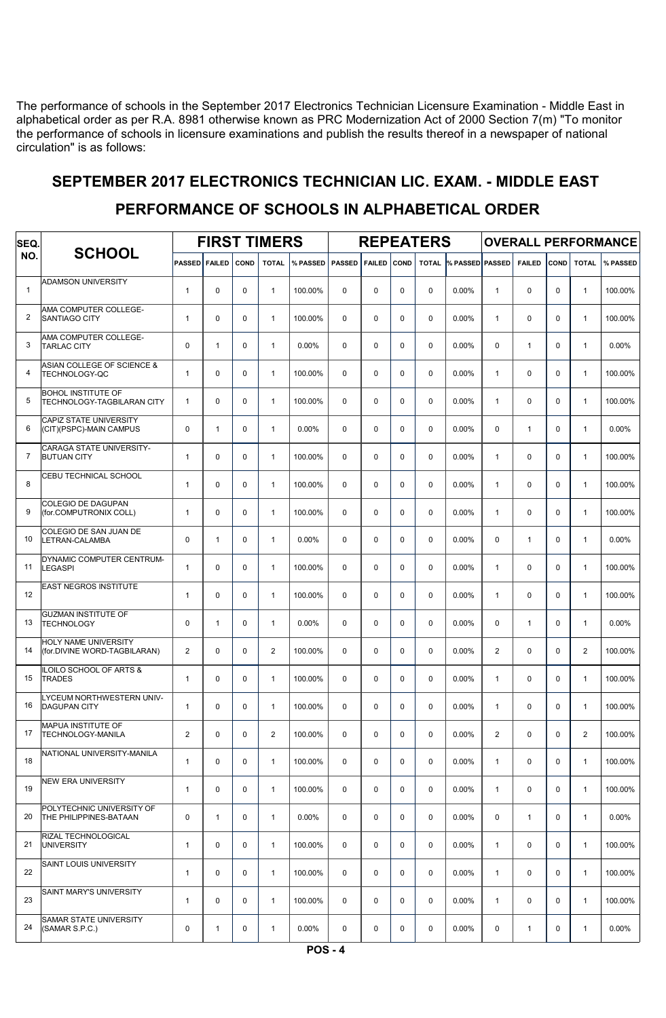The performance of schools in the September 2017 Electronics Technician Licensure Examination - Middle East in alphabetical order as per R.A. 8981 otherwise known as PRC Modernization Act of 2000 Section 7(m) "To monitor the performance of schools in licensure examinations and publish the results thereof in a newspaper of national circulation" is as follows:

# SEPTEMBER 2017 ELECTRONICS TECHNICIAN LIC. EXAM. - MIDDLE EAST

#### FIRST TIMERS REPEATERS OVERALL PERFORMANCE SCHOOL PASSED FAILED COND TOTAL % PASSED PASSED FAILED COND TOTAL <sup>%</sup> PASSED PASSED FAILED COND TOTAL % PASSED SEQ. NO. ADAMSON UNIVERSITY 1 | 1 0 0 0 1 | 100.00% 0 0 0 0.00% | 1 | 0 | 0 | 1 | 100.00% AMA COMPUTER COLLEGE-<br>SANTIAGO CITY 2 SANTIAGO CITY | 1 | 0 | 0 | 1 | 100.00% | 0 | 0 | 0 | 0 | 0 |0% | 1 | 0 | 0 | 1 | 100.00% AMA COMPUTER COLLEGE-<br>TARLAC CITY 3 TARLAC CITY 0 1 0 1 0.00% 0 0 0 0 0.00% 0 1 0 1 0.00% ASIAN COLLEGE OF SCIENCE &<br>TECHNOLOGY-QC 4 |TECHNOLOGY-QC 1 | 0 | 0 | 1 | 100.00% | 0 | 0 | 0 | 0 | 0 0.00% | 1 | 0 | 0 | 1 | 100.00% BOHOL INSTITUTE OF 5 TECHNOLOGY-TAGBILARAN CITY | 1 | 0 | 0 | 1 | 100.00% | 0 | 0 | 0 | 0 | 0.00% | 1 | 0 | 0 | 1 | 100.00% CAPIZ STATE UNIVERSITY 6 (CIT)(PSPC)-MAIN CAMPUS 0 1 0 1 0.00% 0 0 0 0 0.00% 0 1 0 1 0.00% CARAGA STATE UNIVERSITY-<br>BUTUAN CITY 7 BUTUAN CITY | 1 | 0 | 0 | 1 | 100.00% | 0 | 0 | 0 | 0 | 0 | 0 | 1 | 100.0000 | 1 | 100.000 | CEBU TECHNICAL SCHOOL 8 | | 1 | 0 | 0 | 1 |100.00% | 0 | 0 | 0 | 0.00% | 1 | 0 | 0 | 1 |100.00% COLEGIO DE DAGUPAN 9 (for.COMPUTRONIX COLL) 1 0 0 1 100.00% 0 0 0 0 000% 1 0 0 0 1 100.00% COLEGIO DE SAN JUAN DE<br>LETRAN-CALAMBA 10 LETRAN-CALAMBA 0 1 0 1 0.00% 0 0 0 0 0.00% 0 1 0 1 0.00% DYNAMIC COMPUTER CENTRUM<mark>-</mark><br>LEGASPI 11 LEGASPI 1 0 0 1 100.00% 0 0 0 0 0.00% 1 0 0 1 100.00% EAST NEGROS INSTITUTE 12 | | 1 | 0 | 0 | 1 |100.00% | 0 | 0 | 0 | 0 | 0.00% | 1 | 0 | 0 | 1 |100.00% GUZMAN INSTITUTE OF<br>TECHNOLOGY 13 TECHNOLOGY 0 1 0 1 0.00% 0 0 0 0 0.00% 0 1 0 1 0.00% HOLY NAME UNIVERSITY 14 (for.DIVINE WORD-TAGBILARAN) 2 0 0 2 100.00% 0 0 0 0 0 0.00% 2 0 0 2 100.00% ILOILO SCHOOL OF ARTS &<br>TRADES 15 TRADES 1 0 0 1 100.00% 0 0 0 0 0.00% 1 0 0 1 100.00% .<br>YCEUM NORTHWESTERN UNIV-<br>DAGUPAN CITY 16 DAGUPAN CITY | 1 | 0 | 0 | 1 | 100.00% | 0 | 0 | 0 | 0 | 0 000% | 1 | 0 | 0 | 1 | 100.00% MAPUA INSTITUTE OF 17 TECHNOLOGY-MANILA 2 0 0 2 100.00% 0 0 0 0 0.00% 2 0 0 0 2 100.00% NATIONAL UNIVERSITY-MANILA 18 | | 1 | 0 | 0 | 1 |100.00% | 0 | 0 | 0 | 0 | 0.00% | 1 | 0 | 0 | 1 |100.00% NEW ERA UNIVERSITY 19 | 1 | 0 | 0 | 1 | 100.00% | 0 | 0 | 0 | 0.00% | 1 | 0 | 0 | 0 | 1 | 100.00% POLYTECHNIC UNIVERSITY OF 20 THE PHILIPPINES-BATAAN 0 1 0 1 0 1 0.00% 0 0 0 0 0.00% 0 0 1 0 1 0.00% RIZAL TECHNOLOGICAL<br>JNIVERSITY 21 |UNIVERSITY | 1 | 0 | 0 | 1 | 100.00% | 0 | 0 | 0 | 0 | 0.00% | 1 | 0 | 0 | 1 | 100.00% SAINT LOUIS UNIVERSITY 22 1 0 0 1 100.00% 0 0 0 0 0.00% 1 0 0 1 100.00% SAINT MARY'S UNIVERSITY 23 1 0 0 1 100.00% 0 0 0 0 0.00% 1 0 0 1 100.00% SAMAR STATE UNIVERSITY<br>(SAMAR S.P.C.) 24 (SAMAR S.P.C.) | 0 | 1 | 0 | 1 | 0.00% | 0 | 0 | 0 | 0 | 0.00% | 0 | 1 | 0 | 1 | 0.00%

### PERFORMANCE OF SCHOOLS IN ALPHABETICAL ORDER